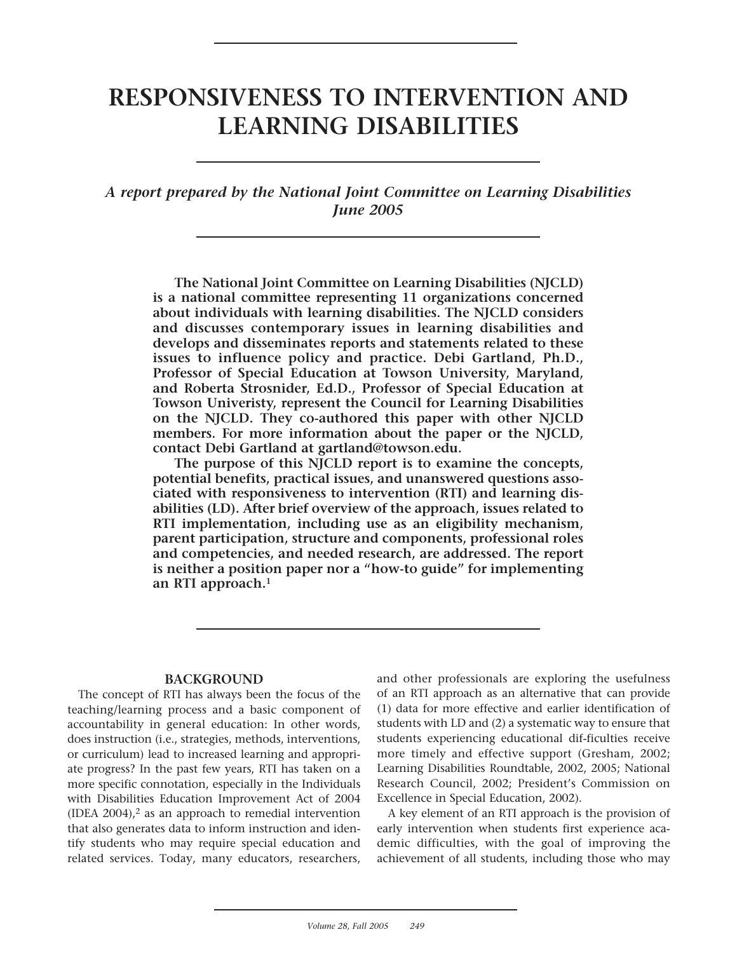# **RESPONSIVENESS TO INTERVENTION AND LEARNING DISABILITIES**

*A report prepared by the National Joint Committee on Learning Disabilities June 2005*

**The National Joint Committee on Learning Disabilities (NJCLD) is a national committee representing 11 organizations concerned about individuals with learning disabilities. The NJCLD considers and discusses contemporary issues in learning disabilities and develops and disseminates reports and statements related to these issues to influence policy and practice. Debi Gartland, Ph.D., Professor of Special Education at Towson University, Maryland, and Roberta Strosnider, Ed.D., Professor of Special Education at Towson Univeristy, represent the Council for Learning Disabilities on the NJCLD. They co-authored this paper with other NJCLD members. For more information about the paper or the NJCLD, contact Debi Gartland at gartland@towson.edu.**

**The purpose of this NJCLD report is to examine the concepts, potential benefits, practical issues, and unanswered questions associated with responsiveness to intervention (RTI) and learning disabilities (LD). After brief overview of the approach, issues related to RTI implementation, including use as an eligibility mechanism, parent participation, structure and components, professional roles and competencies, and needed research, are addressed. The report is neither a position paper nor a "how-to guide" for implementing an RTI approach.1**

### **BACKGROUND**

The concept of RTI has always been the focus of the teaching/learning process and a basic component of accountability in general education: In other words, does instruction (i.e., strategies, methods, interventions, or curriculum) lead to increased learning and appropriate progress? In the past few years, RTI has taken on a more specific connotation, especially in the Individuals with Disabilities Education Improvement Act of 2004 (IDEA 2004), $2$  as an approach to remedial intervention that also generates data to inform instruction and identify students who may require special education and related services. Today, many educators, researchers,

and other professionals are exploring the usefulness of an RTI approach as an alternative that can provide (1) data for more effective and earlier identification of students with LD and (2) a systematic way to ensure that students experiencing educational dif-ficulties receive more timely and effective support (Gresham, 2002; Learning Disabilities Roundtable, 2002, 2005; National Research Council, 2002; President's Commission on Excellence in Special Education, 2002).

A key element of an RTI approach is the provision of early intervention when students first experience academic difficulties, with the goal of improving the achievement of all students, including those who may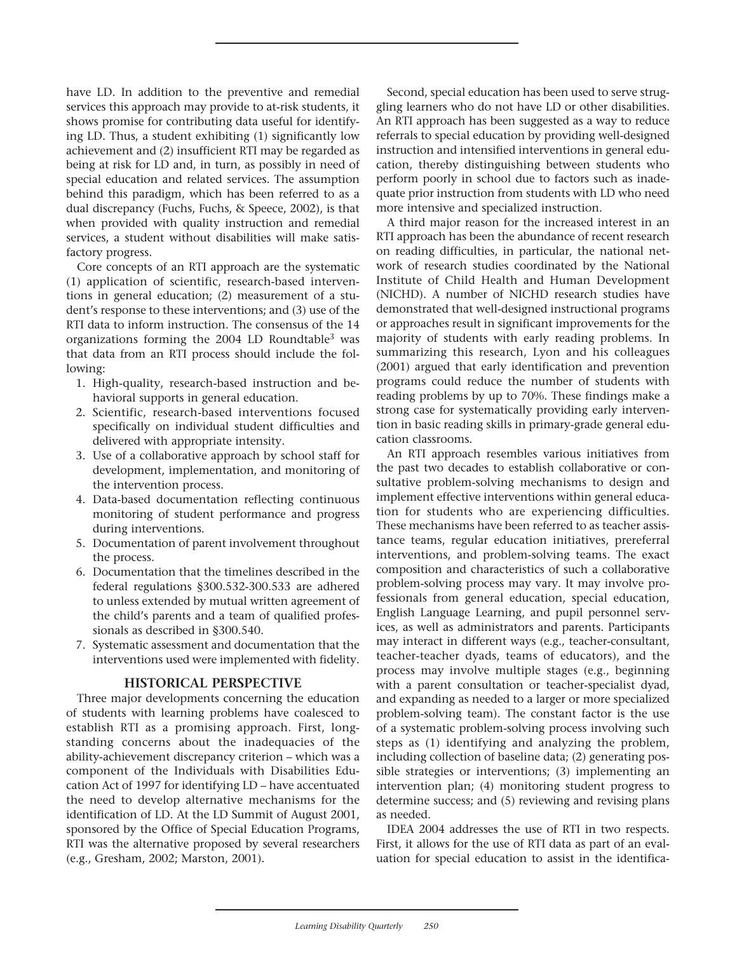have LD. In addition to the preventive and remedial services this approach may provide to at-risk students, it shows promise for contributing data useful for identifying LD. Thus, a student exhibiting (1) significantly low achievement and (2) insufficient RTI may be regarded as being at risk for LD and, in turn, as possibly in need of special education and related services. The assumption behind this paradigm, which has been referred to as a dual discrepancy (Fuchs, Fuchs, & Speece, 2002), is that when provided with quality instruction and remedial services, a student without disabilities will make satisfactory progress.

Core concepts of an RTI approach are the systematic (1) application of scientific, research-based interventions in general education; (2) measurement of a student's response to these interventions; and (3) use of the RTI data to inform instruction. The consensus of the 14 organizations forming the 2004 LD Roundtable3 was that data from an RTI process should include the following:

- 1. High-quality, research-based instruction and behavioral supports in general education.
- 2. Scientific, research-based interventions focused specifically on individual student difficulties and delivered with appropriate intensity.
- 3. Use of a collaborative approach by school staff for development, implementation, and monitoring of the intervention process.
- 4. Data-based documentation reflecting continuous monitoring of student performance and progress during interventions.
- 5. Documentation of parent involvement throughout the process.
- 6. Documentation that the timelines described in the federal regulations §300.532-300.533 are adhered to unless extended by mutual written agreement of the child's parents and a team of qualified professionals as described in §300.540.
- 7. Systematic assessment and documentation that the interventions used were implemented with fidelity.

# **HISTORICAL PERSPECTIVE**

Three major developments concerning the education of students with learning problems have coalesced to establish RTI as a promising approach. First, longstanding concerns about the inadequacies of the ability-achievement discrepancy criterion – which was a component of the Individuals with Disabilities Education Act of 1997 for identifying LD – have accentuated the need to develop alternative mechanisms for the identification of LD. At the LD Summit of August 2001, sponsored by the Office of Special Education Programs, RTI was the alternative proposed by several researchers (e.g., Gresham, 2002; Marston, 2001).

Second, special education has been used to serve struggling learners who do not have LD or other disabilities. An RTI approach has been suggested as a way to reduce referrals to special education by providing well-designed instruction and intensified interventions in general education, thereby distinguishing between students who perform poorly in school due to factors such as inadequate prior instruction from students with LD who need more intensive and specialized instruction.

A third major reason for the increased interest in an RTI approach has been the abundance of recent research on reading difficulties, in particular, the national network of research studies coordinated by the National Institute of Child Health and Human Development (NICHD). A number of NICHD research studies have demonstrated that well-designed instructional programs or approaches result in significant improvements for the majority of students with early reading problems. In summarizing this research, Lyon and his colleagues (2001) argued that early identification and prevention programs could reduce the number of students with reading problems by up to 70%. These findings make a strong case for systematically providing early intervention in basic reading skills in primary-grade general education classrooms.

An RTI approach resembles various initiatives from the past two decades to establish collaborative or consultative problem-solving mechanisms to design and implement effective interventions within general education for students who are experiencing difficulties. These mechanisms have been referred to as teacher assistance teams, regular education initiatives, prereferral interventions, and problem-solving teams. The exact composition and characteristics of such a collaborative problem-solving process may vary. It may involve professionals from general education, special education, English Language Learning, and pupil personnel services, as well as administrators and parents. Participants may interact in different ways (e.g., teacher-consultant, teacher-teacher dyads, teams of educators), and the process may involve multiple stages (e.g., beginning with a parent consultation or teacher-specialist dyad, and expanding as needed to a larger or more specialized problem-solving team). The constant factor is the use of a systematic problem-solving process involving such steps as (1) identifying and analyzing the problem, including collection of baseline data; (2) generating possible strategies or interventions; (3) implementing an intervention plan; (4) monitoring student progress to determine success; and (5) reviewing and revising plans as needed.

IDEA 2004 addresses the use of RTI in two respects. First, it allows for the use of RTI data as part of an evaluation for special education to assist in the identifica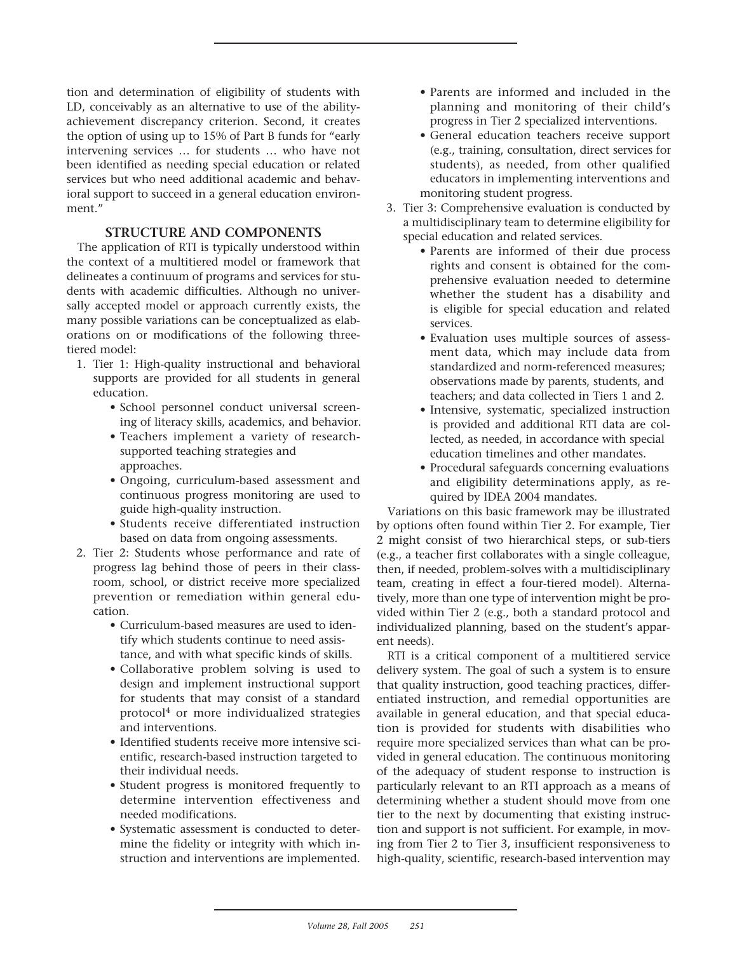tion and determination of eligibility of students with LD, conceivably as an alternative to use of the abilityachievement discrepancy criterion. Second, it creates the option of using up to 15% of Part B funds for "early intervening services … for students … who have not been identified as needing special education or related services but who need additional academic and behavioral support to succeed in a general education environment."

# **STRUCTURE AND COMPONENTS**

The application of RTI is typically understood within the context of a multitiered model or framework that delineates a continuum of programs and services for students with academic difficulties. Although no universally accepted model or approach currently exists, the many possible variations can be conceptualized as elaborations on or modifications of the following threetiered model:

- 1. Tier 1: High-quality instructional and behavioral supports are provided for all students in general education.
	- School personnel conduct universal screening of literacy skills, academics, and behavior.
	- Teachers implement a variety of researchsupported teaching strategies and approaches.
	- Ongoing, curriculum-based assessment and continuous progress monitoring are used to guide high-quality instruction.
	- Students receive differentiated instruction based on data from ongoing assessments.
- 2. Tier 2: Students whose performance and rate of progress lag behind those of peers in their classroom, school, or district receive more specialized prevention or remediation within general education.
	- Curriculum-based measures are used to identify which students continue to need assistance, and with what specific kinds of skills.
	- Collaborative problem solving is used to design and implement instructional support for students that may consist of a standard protocol<sup>4</sup> or more individualized strategies and interventions.
	- Identified students receive more intensive scientific, research-based instruction targeted to their individual needs.
	- Student progress is monitored frequently to determine intervention effectiveness and needed modifications.
	- Systematic assessment is conducted to determine the fidelity or integrity with which instruction and interventions are implemented.
- Parents are informed and included in the planning and monitoring of their child's progress in Tier 2 specialized interventions.
- General education teachers receive support (e.g., training, consultation, direct services for students), as needed, from other qualified educators in implementing interventions and monitoring student progress.
- 3. Tier 3: Comprehensive evaluation is conducted by a multidisciplinary team to determine eligibility for special education and related services.
	- Parents are informed of their due process rights and consent is obtained for the comprehensive evaluation needed to determine whether the student has a disability and is eligible for special education and related services.
	- Evaluation uses multiple sources of assessment data, which may include data from standardized and norm-referenced measures; observations made by parents, students, and teachers; and data collected in Tiers 1 and 2.
	- Intensive, systematic, specialized instruction is provided and additional RTI data are collected, as needed, in accordance with special education timelines and other mandates.
	- Procedural safeguards concerning evaluations and eligibility determinations apply, as required by IDEA 2004 mandates.

Variations on this basic framework may be illustrated by options often found within Tier 2. For example, Tier 2 might consist of two hierarchical steps, or sub-tiers (e.g., a teacher first collaborates with a single colleague, then, if needed, problem-solves with a multidisciplinary team, creating in effect a four-tiered model). Alternatively, more than one type of intervention might be provided within Tier 2 (e.g., both a standard protocol and individualized planning, based on the student's apparent needs).

RTI is a critical component of a multitiered service delivery system. The goal of such a system is to ensure that quality instruction, good teaching practices, differentiated instruction, and remedial opportunities are available in general education, and that special education is provided for students with disabilities who require more specialized services than what can be provided in general education. The continuous monitoring of the adequacy of student response to instruction is particularly relevant to an RTI approach as a means of determining whether a student should move from one tier to the next by documenting that existing instruction and support is not sufficient. For example, in moving from Tier 2 to Tier 3, insufficient responsiveness to high-quality, scientific, research-based intervention may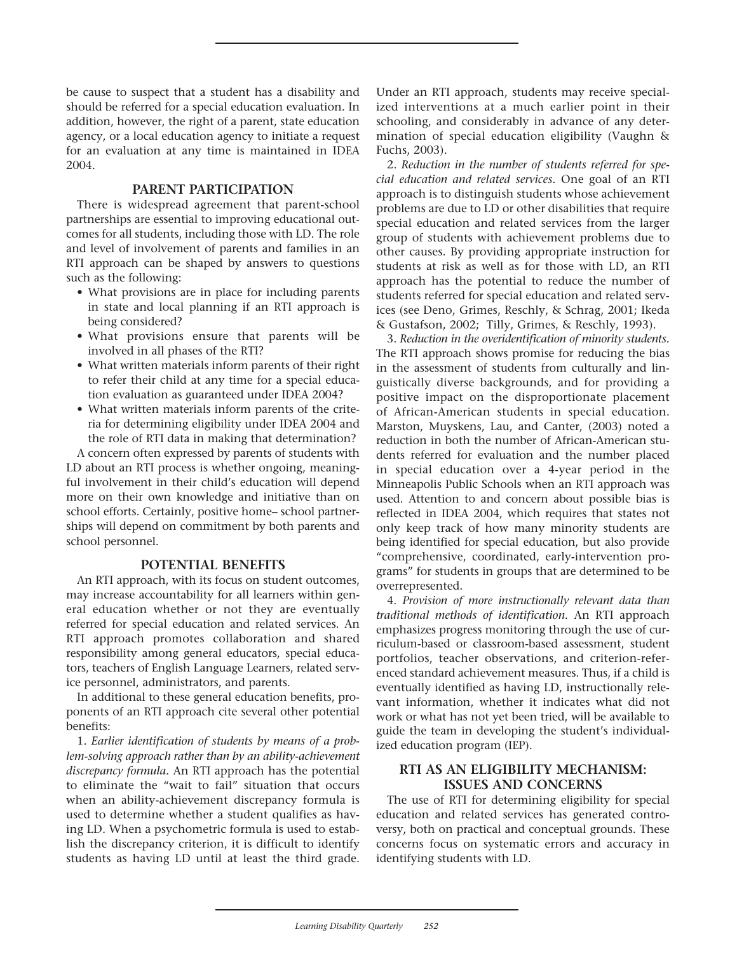be cause to suspect that a student has a disability and should be referred for a special education evaluation. In addition, however, the right of a parent, state education agency, or a local education agency to initiate a request for an evaluation at any time is maintained in IDEA 2004.

## **PARENT PARTICIPATION**

There is widespread agreement that parent-school partnerships are essential to improving educational outcomes for all students, including those with LD. The role and level of involvement of parents and families in an RTI approach can be shaped by answers to questions such as the following:

- What provisions are in place for including parents in state and local planning if an RTI approach is being considered?
- What provisions ensure that parents will be involved in all phases of the RTI?
- What written materials inform parents of their right to refer their child at any time for a special education evaluation as guaranteed under IDEA 2004?
- What written materials inform parents of the criteria for determining eligibility under IDEA 2004 and the role of RTI data in making that determination?

A concern often expressed by parents of students with LD about an RTI process is whether ongoing, meaningful involvement in their child's education will depend more on their own knowledge and initiative than on school efforts. Certainly, positive home– school partnerships will depend on commitment by both parents and school personnel.

#### **POTENTIAL BENEFITS**

An RTI approach, with its focus on student outcomes, may increase accountability for all learners within general education whether or not they are eventually referred for special education and related services. An RTI approach promotes collaboration and shared responsibility among general educators, special educators, teachers of English Language Learners, related service personnel, administrators, and parents.

In additional to these general education benefits, proponents of an RTI approach cite several other potential benefits:

1. *Earlier identification of students by means of a problem-solving approach rather than by an ability-achievement discrepancy formula.* An RTI approach has the potential to eliminate the "wait to fail" situation that occurs when an ability-achievement discrepancy formula is used to determine whether a student qualifies as having LD. When a psychometric formula is used to establish the discrepancy criterion, it is difficult to identify students as having LD until at least the third grade.

Under an RTI approach, students may receive specialized interventions at a much earlier point in their schooling, and considerably in advance of any determination of special education eligibility (Vaughn & Fuchs, 2003).

2. *Reduction in the number of students referred for special education and related services.* One goal of an RTI approach is to distinguish students whose achievement problems are due to LD or other disabilities that require special education and related services from the larger group of students with achievement problems due to other causes. By providing appropriate instruction for students at risk as well as for those with LD, an RTI approach has the potential to reduce the number of students referred for special education and related services (see Deno, Grimes, Reschly, & Schrag, 2001; Ikeda & Gustafson, 2002; Tilly, Grimes, & Reschly, 1993).

3. *Reduction in the overidentification of minority students.* The RTI approach shows promise for reducing the bias in the assessment of students from culturally and linguistically diverse backgrounds, and for providing a positive impact on the disproportionate placement of African-American students in special education. Marston, Muyskens, Lau, and Canter, (2003) noted a reduction in both the number of African-American students referred for evaluation and the number placed in special education over a 4-year period in the Minneapolis Public Schools when an RTI approach was used. Attention to and concern about possible bias is reflected in IDEA 2004, which requires that states not only keep track of how many minority students are being identified for special education, but also provide "comprehensive, coordinated, early-intervention programs" for students in groups that are determined to be overrepresented.

4. *Provision of more instructionally relevant data than traditional methods of identification.* An RTI approach emphasizes progress monitoring through the use of curriculum-based or classroom-based assessment, student portfolios, teacher observations, and criterion-referenced standard achievement measures. Thus, if a child is eventually identified as having LD, instructionally relevant information, whether it indicates what did not work or what has not yet been tried, will be available to guide the team in developing the student's individualized education program (IEP).

# **RTI AS AN ELIGIBILITY MECHANISM: ISSUES AND CONCERNS**

The use of RTI for determining eligibility for special education and related services has generated controversy, both on practical and conceptual grounds. These concerns focus on systematic errors and accuracy in identifying students with LD.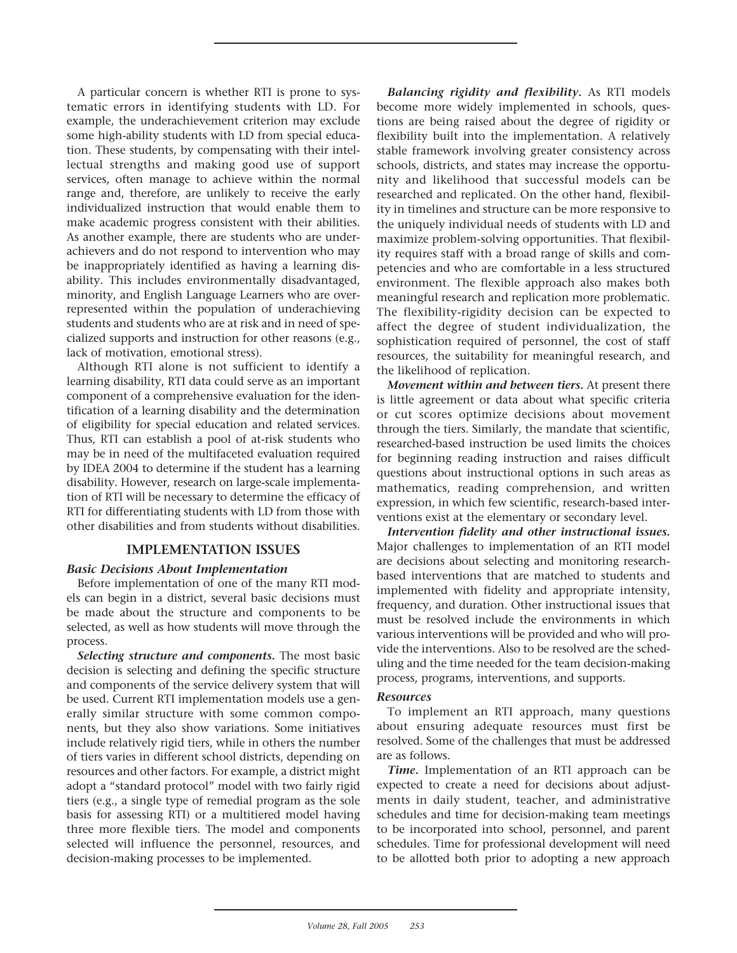A particular concern is whether RTI is prone to systematic errors in identifying students with LD. For example, the underachievement criterion may exclude some high-ability students with LD from special education. These students, by compensating with their intellectual strengths and making good use of support services, often manage to achieve within the normal range and, therefore, are unlikely to receive the early individualized instruction that would enable them to make academic progress consistent with their abilities. As another example, there are students who are underachievers and do not respond to intervention who may be inappropriately identified as having a learning disability. This includes environmentally disadvantaged, minority, and English Language Learners who are overrepresented within the population of underachieving students and students who are at risk and in need of specialized supports and instruction for other reasons (e.g., lack of motivation, emotional stress).

Although RTI alone is not sufficient to identify a learning disability, RTI data could serve as an important component of a comprehensive evaluation for the identification of a learning disability and the determination of eligibility for special education and related services. Thus, RTI can establish a pool of at-risk students who may be in need of the multifaceted evaluation required by IDEA 2004 to determine if the student has a learning disability. However, research on large-scale implementation of RTI will be necessary to determine the efficacy of RTI for differentiating students with LD from those with other disabilities and from students without disabilities.

# **IMPLEMENTATION ISSUES**

# *Basic Decisions About Implementation*

Before implementation of one of the many RTI models can begin in a district, several basic decisions must be made about the structure and components to be selected, as well as how students will move through the process.

*Selecting structure and components.* The most basic decision is selecting and defining the specific structure and components of the service delivery system that will be used. Current RTI implementation models use a generally similar structure with some common components, but they also show variations. Some initiatives include relatively rigid tiers, while in others the number of tiers varies in different school districts, depending on resources and other factors. For example, a district might adopt a "standard protocol" model with two fairly rigid tiers (e.g., a single type of remedial program as the sole basis for assessing RTI) or a multitiered model having three more flexible tiers. The model and components selected will influence the personnel, resources, and decision-making processes to be implemented.

*Balancing rigidity and flexibility.* As RTI models become more widely implemented in schools, questions are being raised about the degree of rigidity or flexibility built into the implementation. A relatively stable framework involving greater consistency across schools, districts, and states may increase the opportunity and likelihood that successful models can be researched and replicated. On the other hand, flexibility in timelines and structure can be more responsive to the uniquely individual needs of students with LD and maximize problem-solving opportunities. That flexibility requires staff with a broad range of skills and competencies and who are comfortable in a less structured environment. The flexible approach also makes both meaningful research and replication more problematic. The flexibility-rigidity decision can be expected to affect the degree of student individualization, the sophistication required of personnel, the cost of staff resources, the suitability for meaningful research, and the likelihood of replication.

*Movement within and between tiers.* At present there is little agreement or data about what specific criteria or cut scores optimize decisions about movement through the tiers. Similarly, the mandate that scientific, researched-based instruction be used limits the choices for beginning reading instruction and raises difficult questions about instructional options in such areas as mathematics, reading comprehension, and written expression, in which few scientific, research-based interventions exist at the elementary or secondary level.

*Intervention fidelity and other instructional issues.* Major challenges to implementation of an RTI model are decisions about selecting and monitoring researchbased interventions that are matched to students and implemented with fidelity and appropriate intensity, frequency, and duration. Other instructional issues that must be resolved include the environments in which various interventions will be provided and who will provide the interventions. Also to be resolved are the scheduling and the time needed for the team decision-making process, programs, interventions, and supports.

# *Resources*

To implement an RTI approach, many questions about ensuring adequate resources must first be resolved. Some of the challenges that must be addressed are as follows.

*Time.* Implementation of an RTI approach can be expected to create a need for decisions about adjustments in daily student, teacher, and administrative schedules and time for decision-making team meetings to be incorporated into school, personnel, and parent schedules. Time for professional development will need to be allotted both prior to adopting a new approach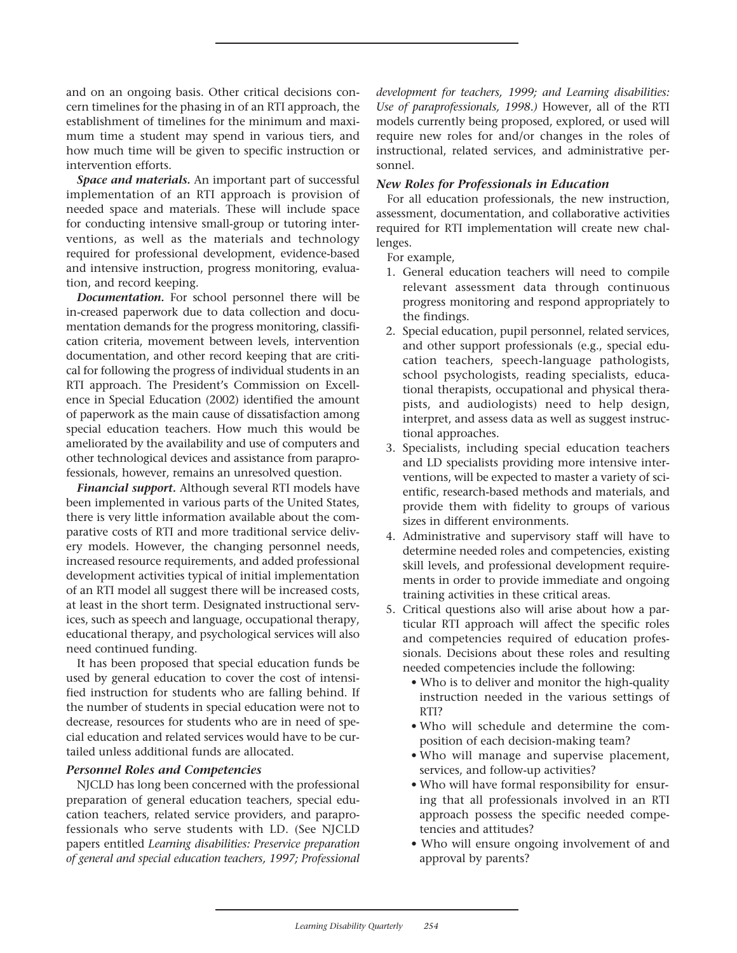and on an ongoing basis. Other critical decisions concern timelines for the phasing in of an RTI approach, the establishment of timelines for the minimum and maximum time a student may spend in various tiers, and how much time will be given to specific instruction or intervention efforts.

*Space and materials.* An important part of successful implementation of an RTI approach is provision of needed space and materials. These will include space for conducting intensive small-group or tutoring interventions, as well as the materials and technology required for professional development, evidence-based and intensive instruction, progress monitoring, evaluation, and record keeping.

*Documentation.* For school personnel there will be in-creased paperwork due to data collection and documentation demands for the progress monitoring, classification criteria, movement between levels, intervention documentation, and other record keeping that are critical for following the progress of individual students in an RTI approach. The President's Commission on Excellence in Special Education (2002) identified the amount of paperwork as the main cause of dissatisfaction among special education teachers. How much this would be ameliorated by the availability and use of computers and other technological devices and assistance from paraprofessionals, however, remains an unresolved question.

*Financial support.* Although several RTI models have been implemented in various parts of the United States, there is very little information available about the comparative costs of RTI and more traditional service delivery models. However, the changing personnel needs, increased resource requirements, and added professional development activities typical of initial implementation of an RTI model all suggest there will be increased costs, at least in the short term. Designated instructional services, such as speech and language, occupational therapy, educational therapy, and psychological services will also need continued funding.

It has been proposed that special education funds be used by general education to cover the cost of intensified instruction for students who are falling behind. If the number of students in special education were not to decrease, resources for students who are in need of special education and related services would have to be curtailed unless additional funds are allocated.

# *Personnel Roles and Competencies*

NJCLD has long been concerned with the professional preparation of general education teachers, special education teachers, related service providers, and paraprofessionals who serve students with LD. (See NJCLD papers entitled *Learning disabilities: Preservice preparation of general and special education teachers, 1997; Professional* *development for teachers, 1999; and Learning disabilities: Use of paraprofessionals, 1998.)* However, all of the RTI models currently being proposed, explored, or used will require new roles for and/or changes in the roles of instructional, related services, and administrative personnel.

## *New Roles for Professionals in Education*

For all education professionals, the new instruction, assessment, documentation, and collaborative activities required for RTI implementation will create new challenges.

#### For example,

- 1. General education teachers will need to compile relevant assessment data through continuous progress monitoring and respond appropriately to the findings.
- 2. Special education, pupil personnel, related services, and other support professionals (e.g., special education teachers, speech-language pathologists, school psychologists, reading specialists, educational therapists, occupational and physical therapists, and audiologists) need to help design, interpret, and assess data as well as suggest instructional approaches.
- 3. Specialists, including special education teachers and LD specialists providing more intensive interventions, will be expected to master a variety of scientific, research-based methods and materials, and provide them with fidelity to groups of various sizes in different environments.
- 4. Administrative and supervisory staff will have to determine needed roles and competencies, existing skill levels, and professional development requirements in order to provide immediate and ongoing training activities in these critical areas.
- 5. Critical questions also will arise about how a particular RTI approach will affect the specific roles and competencies required of education professionals. Decisions about these roles and resulting needed competencies include the following:
	- Who is to deliver and monitor the high-quality instruction needed in the various settings of RTI?
	- Who will schedule and determine the composition of each decision-making team?
	- Who will manage and supervise placement, services, and follow-up activities?
	- Who will have formal responsibility for ensuring that all professionals involved in an RTI approach possess the specific needed competencies and attitudes?
	- Who will ensure ongoing involvement of and approval by parents?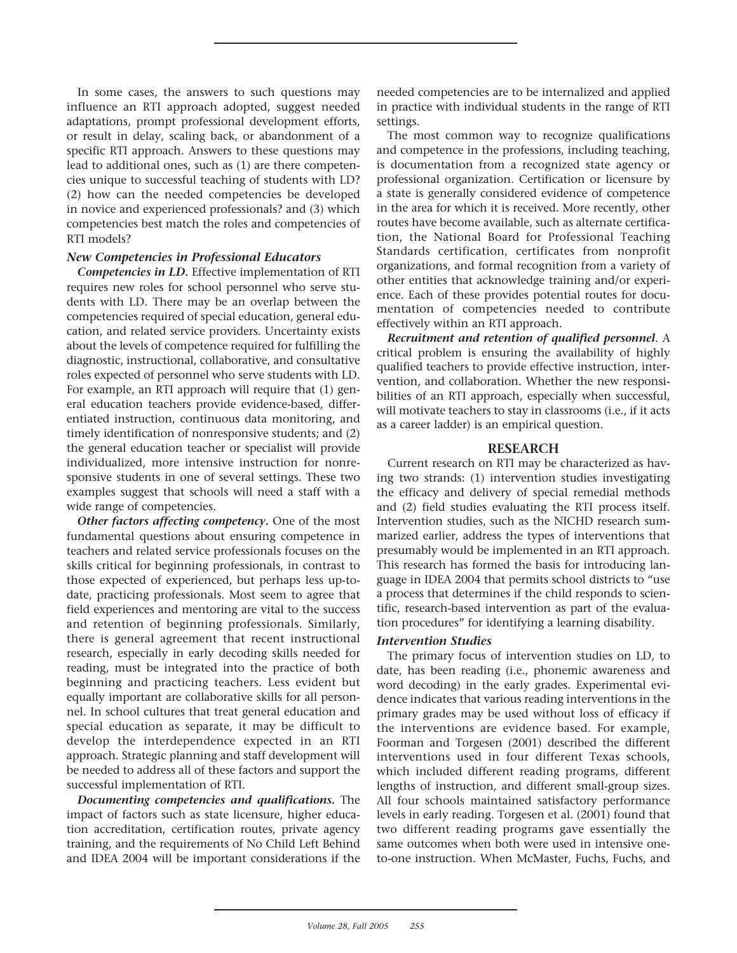In some cases, the answers to such questions may influence an RTI approach adopted, suggest needed adaptations, prompt professional development efforts, or result in delay, scaling back, or abandonment of a specific RTI approach. Answers to these questions may lead to additional ones, such as (1) are there competencies unique to successful teaching of students with LD? (2) how can the needed competencies be developed in novice and experienced professionals? and (3) which competencies best match the roles and competencies of RTI models?

#### *New Competencies in Professional Educators*

*Competencies in LD.* Effective implementation of RTI requires new roles for school personnel who serve students with LD. There may be an overlap between the competencies required of special education, general education, and related service providers. Uncertainty exists about the levels of competence required for fulfilling the diagnostic, instructional, collaborative, and consultative roles expected of personnel who serve students with LD. For example, an RTI approach will require that (1) general education teachers provide evidence-based, differentiated instruction, continuous data monitoring, and timely identification of nonresponsive students; and (2) the general education teacher or specialist will provide individualized, more intensive instruction for nonresponsive students in one of several settings. These two examples suggest that schools will need a staff with a wide range of competencies.

*Other factors affecting competency.* One of the most fundamental questions about ensuring competence in teachers and related service professionals focuses on the skills critical for beginning professionals, in contrast to those expected of experienced, but perhaps less up-todate, practicing professionals. Most seem to agree that field experiences and mentoring are vital to the success and retention of beginning professionals. Similarly, there is general agreement that recent instructional research, especially in early decoding skills needed for reading, must be integrated into the practice of both beginning and practicing teachers. Less evident but equally important are collaborative skills for all personnel. In school cultures that treat general education and special education as separate, it may be difficult to develop the interdependence expected in an RTI approach. Strategic planning and staff development will be needed to address all of these factors and support the successful implementation of RTI.

*Documenting competencies and qualifications.* The impact of factors such as state licensure, higher education accreditation, certification routes, private agency training, and the requirements of No Child Left Behind and IDEA 2004 will be important considerations if the needed competencies are to be internalized and applied in practice with individual students in the range of RTI settings.

The most common way to recognize qualifications and competence in the professions, including teaching, is documentation from a recognized state agency or professional organization. Certification or licensure by a state is generally considered evidence of competence in the area for which it is received. More recently, other routes have become available, such as alternate certification, the National Board for Professional Teaching Standards certification, certificates from nonprofit organizations, and formal recognition from a variety of other entities that acknowledge training and/or experience. Each of these provides potential routes for documentation of competencies needed to contribute effectively within an RTI approach.

*Recruitment and retention of qualified personnel*. A critical problem is ensuring the availability of highly qualified teachers to provide effective instruction, intervention, and collaboration. Whether the new responsibilities of an RTI approach, especially when successful, will motivate teachers to stay in classrooms (i.e., if it acts as a career ladder) is an empirical question.

# **RESEARCH**

Current research on RTI may be characterized as having two strands: (1) intervention studies investigating the efficacy and delivery of special remedial methods and (2) field studies evaluating the RTI process itself. Intervention studies, such as the NICHD research summarized earlier, address the types of interventions that presumably would be implemented in an RTI approach. This research has formed the basis for introducing language in IDEA 2004 that permits school districts to "use a process that determines if the child responds to scientific, research-based intervention as part of the evaluation procedures" for identifying a learning disability.

# *Intervention Studies*

The primary focus of intervention studies on LD, to date, has been reading (i.e., phonemic awareness and word decoding) in the early grades. Experimental evidence indicates that various reading interventions in the primary grades may be used without loss of efficacy if the interventions are evidence based. For example, Foorman and Torgesen (2001) described the different interventions used in four different Texas schools, which included different reading programs, different lengths of instruction, and different small-group sizes. All four schools maintained satisfactory performance levels in early reading. Torgesen et al. (2001) found that two different reading programs gave essentially the same outcomes when both were used in intensive oneto-one instruction. When McMaster, Fuchs, Fuchs, and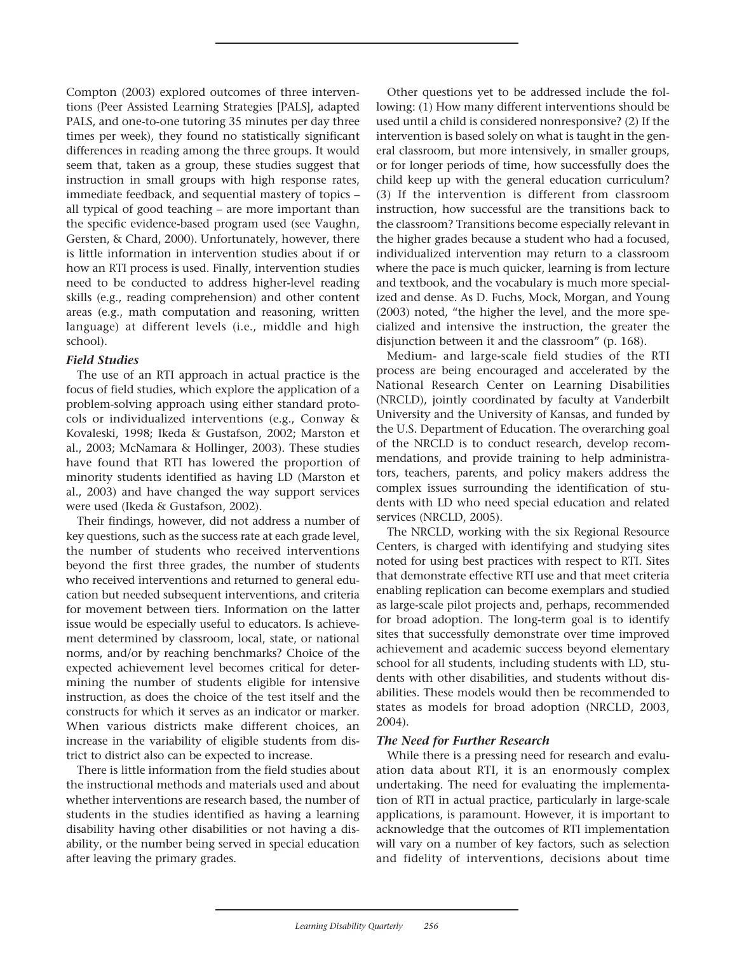Compton (2003) explored outcomes of three interventions (Peer Assisted Learning Strategies [PALS], adapted PALS, and one-to-one tutoring 35 minutes per day three times per week), they found no statistically significant differences in reading among the three groups. It would seem that, taken as a group, these studies suggest that instruction in small groups with high response rates, immediate feedback, and sequential mastery of topics – all typical of good teaching – are more important than the specific evidence-based program used (see Vaughn, Gersten, & Chard, 2000). Unfortunately, however, there is little information in intervention studies about if or how an RTI process is used. Finally, intervention studies need to be conducted to address higher-level reading skills (e.g., reading comprehension) and other content areas (e.g., math computation and reasoning, written language) at different levels (i.e., middle and high school).

#### *Field Studies*

The use of an RTI approach in actual practice is the focus of field studies, which explore the application of a problem-solving approach using either standard protocols or individualized interventions (e.g., Conway & Kovaleski, 1998; Ikeda & Gustafson, 2002; Marston et al., 2003; McNamara & Hollinger, 2003). These studies have found that RTI has lowered the proportion of minority students identified as having LD (Marston et al., 2003) and have changed the way support services were used (Ikeda & Gustafson, 2002).

Their findings, however, did not address a number of key questions, such as the success rate at each grade level, the number of students who received interventions beyond the first three grades, the number of students who received interventions and returned to general education but needed subsequent interventions, and criteria for movement between tiers. Information on the latter issue would be especially useful to educators. Is achievement determined by classroom, local, state, or national norms, and/or by reaching benchmarks? Choice of the expected achievement level becomes critical for determining the number of students eligible for intensive instruction, as does the choice of the test itself and the constructs for which it serves as an indicator or marker. When various districts make different choices, an increase in the variability of eligible students from district to district also can be expected to increase.

There is little information from the field studies about the instructional methods and materials used and about whether interventions are research based, the number of students in the studies identified as having a learning disability having other disabilities or not having a disability, or the number being served in special education after leaving the primary grades.

Other questions yet to be addressed include the following: (1) How many different interventions should be used until a child is considered nonresponsive? (2) If the intervention is based solely on what is taught in the general classroom, but more intensively, in smaller groups, or for longer periods of time, how successfully does the child keep up with the general education curriculum? (3) If the intervention is different from classroom instruction, how successful are the transitions back to the classroom? Transitions become especially relevant in the higher grades because a student who had a focused, individualized intervention may return to a classroom where the pace is much quicker, learning is from lecture and textbook, and the vocabulary is much more specialized and dense. As D. Fuchs, Mock, Morgan, and Young (2003) noted, "the higher the level, and the more specialized and intensive the instruction, the greater the disjunction between it and the classroom" (p. 168).

Medium- and large-scale field studies of the RTI process are being encouraged and accelerated by the National Research Center on Learning Disabilities (NRCLD), jointly coordinated by faculty at Vanderbilt University and the University of Kansas, and funded by the U.S. Department of Education. The overarching goal of the NRCLD is to conduct research, develop recommendations, and provide training to help administrators, teachers, parents, and policy makers address the complex issues surrounding the identification of students with LD who need special education and related services (NRCLD, 2005).

The NRCLD, working with the six Regional Resource Centers, is charged with identifying and studying sites noted for using best practices with respect to RTI. Sites that demonstrate effective RTI use and that meet criteria enabling replication can become exemplars and studied as large-scale pilot projects and, perhaps, recommended for broad adoption. The long-term goal is to identify sites that successfully demonstrate over time improved achievement and academic success beyond elementary school for all students, including students with LD, students with other disabilities, and students without disabilities. These models would then be recommended to states as models for broad adoption (NRCLD, 2003, 2004).

# *The Need for Further Research*

While there is a pressing need for research and evaluation data about RTI, it is an enormously complex undertaking. The need for evaluating the implementation of RTI in actual practice, particularly in large-scale applications, is paramount. However, it is important to acknowledge that the outcomes of RTI implementation will vary on a number of key factors, such as selection and fidelity of interventions, decisions about time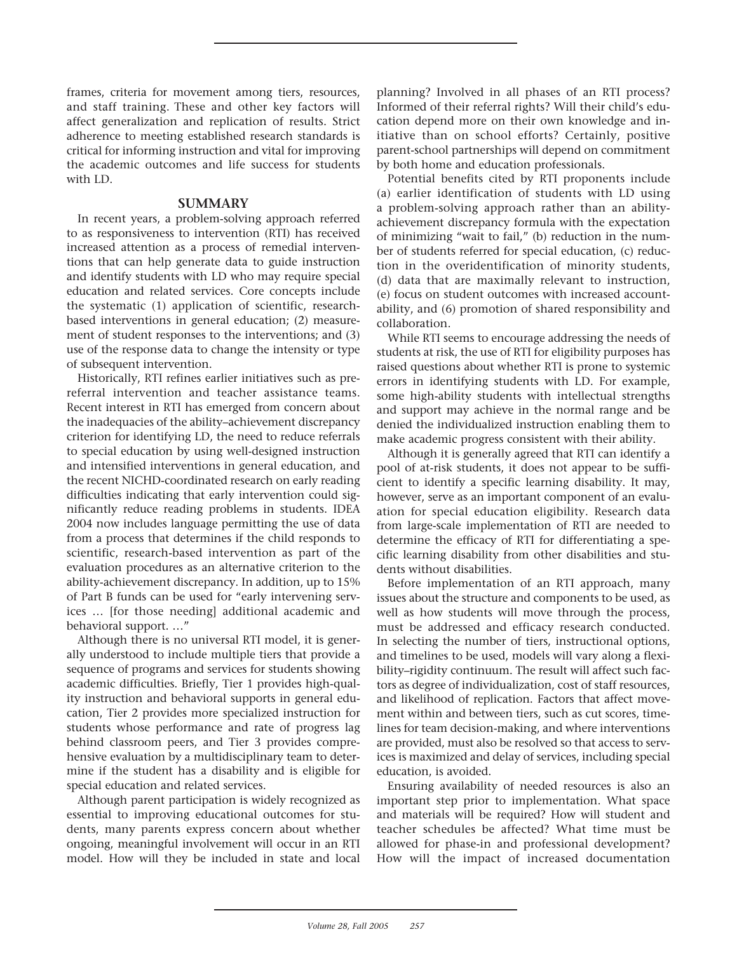frames, criteria for movement among tiers, resources, and staff training. These and other key factors will affect generalization and replication of results. Strict adherence to meeting established research standards is critical for informing instruction and vital for improving the academic outcomes and life success for students with LD.

#### **SUMMARY**

In recent years, a problem-solving approach referred to as responsiveness to intervention (RTI) has received increased attention as a process of remedial interventions that can help generate data to guide instruction and identify students with LD who may require special education and related services. Core concepts include the systematic (1) application of scientific, researchbased interventions in general education; (2) measurement of student responses to the interventions; and (3) use of the response data to change the intensity or type of subsequent intervention.

Historically, RTI refines earlier initiatives such as prereferral intervention and teacher assistance teams. Recent interest in RTI has emerged from concern about the inadequacies of the ability–achievement discrepancy criterion for identifying LD, the need to reduce referrals to special education by using well-designed instruction and intensified interventions in general education, and the recent NICHD-coordinated research on early reading difficulties indicating that early intervention could significantly reduce reading problems in students. IDEA 2004 now includes language permitting the use of data from a process that determines if the child responds to scientific, research-based intervention as part of the evaluation procedures as an alternative criterion to the ability-achievement discrepancy. In addition, up to 15% of Part B funds can be used for "early intervening services … [for those needing] additional academic and behavioral support. …"

Although there is no universal RTI model, it is generally understood to include multiple tiers that provide a sequence of programs and services for students showing academic difficulties. Briefly, Tier 1 provides high-quality instruction and behavioral supports in general education, Tier 2 provides more specialized instruction for students whose performance and rate of progress lag behind classroom peers, and Tier 3 provides comprehensive evaluation by a multidisciplinary team to determine if the student has a disability and is eligible for special education and related services.

Although parent participation is widely recognized as essential to improving educational outcomes for students, many parents express concern about whether ongoing, meaningful involvement will occur in an RTI model. How will they be included in state and local planning? Involved in all phases of an RTI process? Informed of their referral rights? Will their child's education depend more on their own knowledge and initiative than on school efforts? Certainly, positive parent-school partnerships will depend on commitment by both home and education professionals.

Potential benefits cited by RTI proponents include (a) earlier identification of students with LD using a problem-solving approach rather than an abilityachievement discrepancy formula with the expectation of minimizing "wait to fail," (b) reduction in the number of students referred for special education, (c) reduction in the overidentification of minority students, (d) data that are maximally relevant to instruction, (e) focus on student outcomes with increased accountability, and (6) promotion of shared responsibility and collaboration.

While RTI seems to encourage addressing the needs of students at risk, the use of RTI for eligibility purposes has raised questions about whether RTI is prone to systemic errors in identifying students with LD. For example, some high-ability students with intellectual strengths and support may achieve in the normal range and be denied the individualized instruction enabling them to make academic progress consistent with their ability.

Although it is generally agreed that RTI can identify a pool of at-risk students, it does not appear to be sufficient to identify a specific learning disability. It may, however, serve as an important component of an evaluation for special education eligibility. Research data from large-scale implementation of RTI are needed to determine the efficacy of RTI for differentiating a specific learning disability from other disabilities and students without disabilities.

Before implementation of an RTI approach, many issues about the structure and components to be used, as well as how students will move through the process, must be addressed and efficacy research conducted. In selecting the number of tiers, instructional options, and timelines to be used, models will vary along a flexibility–rigidity continuum. The result will affect such factors as degree of individualization, cost of staff resources, and likelihood of replication. Factors that affect movement within and between tiers, such as cut scores, timelines for team decision-making, and where interventions are provided, must also be resolved so that access to services is maximized and delay of services, including special education, is avoided.

Ensuring availability of needed resources is also an important step prior to implementation. What space and materials will be required? How will student and teacher schedules be affected? What time must be allowed for phase-in and professional development? How will the impact of increased documentation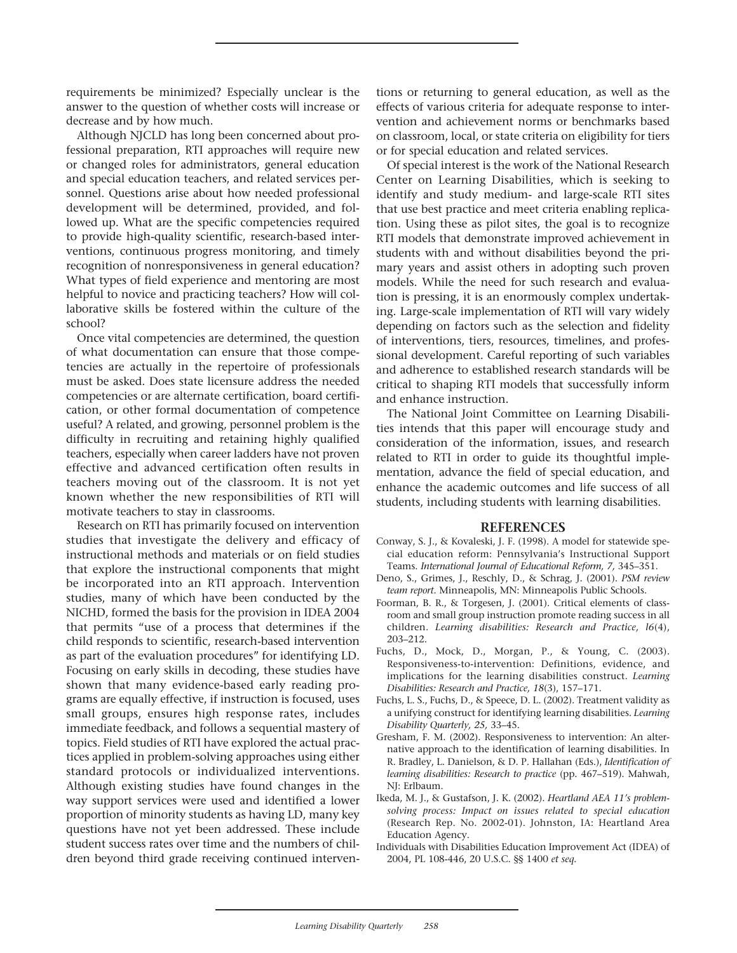requirements be minimized? Especially unclear is the answer to the question of whether costs will increase or decrease and by how much.

Although NJCLD has long been concerned about professional preparation, RTI approaches will require new or changed roles for administrators, general education and special education teachers, and related services personnel. Questions arise about how needed professional development will be determined, provided, and followed up. What are the specific competencies required to provide high-quality scientific, research-based interventions, continuous progress monitoring, and timely recognition of nonresponsiveness in general education? What types of field experience and mentoring are most helpful to novice and practicing teachers? How will collaborative skills be fostered within the culture of the school?

Once vital competencies are determined, the question of what documentation can ensure that those competencies are actually in the repertoire of professionals must be asked. Does state licensure address the needed competencies or are alternate certification, board certification, or other formal documentation of competence useful? A related, and growing, personnel problem is the difficulty in recruiting and retaining highly qualified teachers, especially when career ladders have not proven effective and advanced certification often results in teachers moving out of the classroom. It is not yet known whether the new responsibilities of RTI will motivate teachers to stay in classrooms.

Research on RTI has primarily focused on intervention studies that investigate the delivery and efficacy of instructional methods and materials or on field studies that explore the instructional components that might be incorporated into an RTI approach. Intervention studies, many of which have been conducted by the NICHD, formed the basis for the provision in IDEA 2004 that permits "use of a process that determines if the child responds to scientific, research-based intervention as part of the evaluation procedures" for identifying LD. Focusing on early skills in decoding, these studies have shown that many evidence-based early reading programs are equally effective, if instruction is focused, uses small groups, ensures high response rates, includes immediate feedback, and follows a sequential mastery of topics. Field studies of RTI have explored the actual practices applied in problem-solving approaches using either standard protocols or individualized interventions. Although existing studies have found changes in the way support services were used and identified a lower proportion of minority students as having LD, many key questions have not yet been addressed. These include student success rates over time and the numbers of children beyond third grade receiving continued interventions or returning to general education, as well as the effects of various criteria for adequate response to intervention and achievement norms or benchmarks based on classroom, local, or state criteria on eligibility for tiers or for special education and related services.

Of special interest is the work of the National Research Center on Learning Disabilities, which is seeking to identify and study medium- and large-scale RTI sites that use best practice and meet criteria enabling replication. Using these as pilot sites, the goal is to recognize RTI models that demonstrate improved achievement in students with and without disabilities beyond the primary years and assist others in adopting such proven models. While the need for such research and evaluation is pressing, it is an enormously complex undertaking. Large-scale implementation of RTI will vary widely depending on factors such as the selection and fidelity of interventions, tiers, resources, timelines, and professional development. Careful reporting of such variables and adherence to established research standards will be critical to shaping RTI models that successfully inform and enhance instruction.

The National Joint Committee on Learning Disabilities intends that this paper will encourage study and consideration of the information, issues, and research related to RTI in order to guide its thoughtful implementation, advance the field of special education, and enhance the academic outcomes and life success of all students, including students with learning disabilities.

#### **REFERENCES**

- Conway, S. J., & Kovaleski, J. F. (1998). A model for statewide special education reform: Pennsylvania's Instructional Support Teams. *International Journal of Educational Reform, 7,* 345–351.
- Deno, S., Grimes, J., Reschly, D., & Schrag, J. (2001). *PSM review team report.* Minneapolis, MN: Minneapolis Public Schools.
- Foorman, B. R., & Torgesen, J. (2001). Critical elements of classroom and small group instruction promote reading success in all children. *Learning disabilities: Research and Practice, l6*(4), 203–212.
- Fuchs, D., Mock, D., Morgan, P., & Young, C. (2003). Responsiveness-to-intervention: Definitions, evidence, and implications for the learning disabilities construct. *Learning Disabilities: Research and Practice, 18*(3), 157–171.
- Fuchs, L. S., Fuchs, D., & Speece, D. L. (2002). Treatment validity as a unifying construct for identifying learning disabilities. *Learning Disability Quarterly, 25,* 33–45.
- Gresham, F. M. (2002). Responsiveness to intervention: An alternative approach to the identification of learning disabilities. In R. Bradley, L. Danielson, & D. P. Hallahan (Eds.), *Identification of learning disabilities: Research to practice* (pp. 467–519). Mahwah, NJ: Erlbaum.
- Ikeda, M. J., & Gustafson, J. K. (2002). *Heartland AEA 11's problemsolving process: Impact on issues related to special education* (Research Rep. No. 2002-01). Johnston, IA: Heartland Area Education Agency.
- Individuals with Disabilities Education Improvement Act (IDEA) of 2004, PL 108-446, 20 U.S.C. §§ 1400 *et seq.*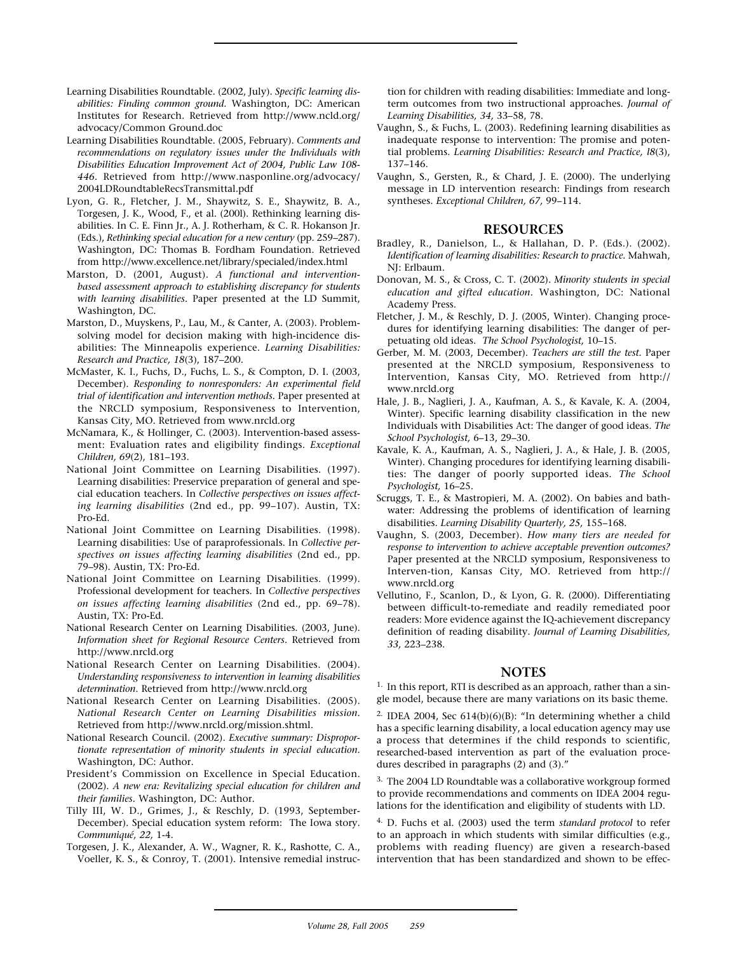- Learning Disabilities Roundtable. (2002, July). *Specific learning disabilities: Finding common ground.* Washington, DC: American Institutes for Research. Retrieved from http://www.ncld.org/ advocacy/Common Ground.doc
- Learning Disabilities Roundtable. (2005, February). *Comments and recommendations on regulatory issues under the Individuals with Disabilities Education Improvement Act of 2004, Public Law 108- 446.* Retrieved from http://www.nasponline.org/advocacy/ 2004LDRoundtableRecsTransmittal.pdf
- Lyon, G. R., Fletcher, J. M., Shaywitz, S. E., Shaywitz, B. A., Torgesen, J. K., Wood, F., et al. (200l). Rethinking learning disabilities. In C. E. Finn Jr., A. J. Rotherham, & C. R. Hokanson Jr. (Eds.), *Rethinking special education for a new century* (pp. 259–287). Washington, DC: Thomas B. Fordham Foundation. Retrieved from http://www.excellence.net/library/specialed/index.html
- Marston, D. (2001, August). *A functional and interventionbased assessment approach to establishing discrepancy for students with learning disabilities.* Paper presented at the LD Summit, Washington, DC.
- Marston, D., Muyskens, P., Lau, M., & Canter, A. (2003). Problemsolving model for decision making with high-incidence disabilities: The Minneapolis experience. *Learning Disabilities: Research and Practice, 18*(3), 187–200.
- McMaster, K. I., Fuchs, D., Fuchs, L. S., & Compton, D. I. (2003, December). *Responding to nonresponders: An experimental field trial of identification and intervention methods.* Paper presented at the NRCLD symposium, Responsiveness to Intervention, Kansas City, MO. Retrieved from www.nrcld.org
- McNamara, K., & Hollinger, C. (2003). Intervention-based assessment: Evaluation rates and eligibility findings. *Exceptional Children, 69*(2), 181–193.
- National Joint Committee on Learning Disabilities. (1997). Learning disabilities: Preservice preparation of general and special education teachers. In *Collective perspectives on issues affecting learning disabilities* (2nd ed., pp. 99–107). Austin, TX: Pro-Ed.
- National Joint Committee on Learning Disabilities. (1998). Learning disabilities: Use of paraprofessionals. In *Collective perspectives on issues affecting learning disabilities* (2nd ed., pp. 79–98). Austin, TX: Pro-Ed.
- National Joint Committee on Learning Disabilities. (1999). Professional development for teachers. In *Collective perspectives on issues affecting learning disabilities* (2nd ed., pp. 69–78). Austin, TX: Pro-Ed.
- National Research Center on Learning Disabilities. (2003, June). *Information sheet for Regional Resource Centers.* Retrieved from http://www.nrcld.org
- National Research Center on Learning Disabilities. (2004). *Understanding responsiveness to intervention in learning disabilities determination*. Retrieved from http://www.nrcld.org
- National Research Center on Learning Disabilities. (2005). *National Research Center on Learning Disabilities mission.* Retrieved from http://www.nrcld.org/mission.shtml.
- National Research Council. (2002). *Executive summary: Disproportionate representation of minority students in special education.* Washington, DC: Author.
- President's Commission on Excellence in Special Education. (2002). *A new era: Revitalizing special education for children and their families.* Washington, DC: Author.
- Tilly III, W. D., Grimes, J., & Reschly, D. (1993, September-December). Special education system reform: The Iowa story. *Communiqué, 22,* 1-4.
- Torgesen, J. K., Alexander, A. W., Wagner, R. K., Rashotte, C. A., Voeller, K. S., & Conroy, T. (2001). Intensive remedial instruc-

tion for children with reading disabilities: Immediate and longterm outcomes from two instructional approaches. *Journal of Learning Disabilities, 34,* 33–58, 78.

- Vaughn, S., & Fuchs, L. (2003). Redefining learning disabilities as inadequate response to intervention: The promise and potential problems. *Learning Disabilities: Research and Practice, l8*(3), 137–146.
- Vaughn, S., Gersten, R., & Chard, J. E. (2000). The underlying message in LD intervention research: Findings from research syntheses. *Exceptional Children, 67,* 99–114.

#### **RESOURCES**

- Bradley, R., Danielson, L., & Hallahan, D. P. (Eds.). (2002). *Identification of learning disabilities: Research to practice.* Mahwah, NJ: Erlbaum.
- Donovan, M. S., & Cross, C. T. (2002). *Minority students in special education and gifted education.* Washington, DC: National Academy Press.
- Fletcher, J. M., & Reschly, D. J. (2005, Winter). Changing procedures for identifying learning disabilities: The danger of perpetuating old ideas. *The School Psychologist,* 10–15.
- Gerber, M. M. (2003, December). *Teachers are still the test.* Paper presented at the NRCLD symposium, Responsiveness to Intervention, Kansas City, MO. Retrieved from http:// www.nrcld.org
- Hale, J. B., Naglieri, J. A., Kaufman, A. S., & Kavale, K. A. (2004, Winter). Specific learning disability classification in the new Individuals with Disabilities Act: The danger of good ideas. *The School Psychologist,* 6–13, 29–30.
- Kavale, K. A., Kaufman, A. S., Naglieri, J. A., & Hale, J. B. (2005, Winter). Changing procedures for identifying learning disabilities: The danger of poorly supported ideas. *The School Psychologist,* 16–25.
- Scruggs, T. E., & Mastropieri, M. A. (2002). On babies and bathwater: Addressing the problems of identification of learning disabilities. *Learning Disability Quarterly, 25,* 155–168.
- Vaughn, S. (2003, December). *How many tiers are needed for response to intervention to achieve acceptable prevention outcomes?* Paper presented at the NRCLD symposium, Responsiveness to Interven-tion, Kansas City, MO. Retrieved from http:// www.nrcld.org
- Vellutino, F., Scanlon, D., & Lyon, G. R. (2000). Differentiating between difficult-to-remediate and readily remediated poor readers: More evidence against the IQ-achievement discrepancy definition of reading disability. *Journal of Learning Disabilities, 33,* 223–238.

# **NOTES**

 $1.$  In this report, RTI is described as an approach, rather than a single model, because there are many variations on its basic theme.

<sup>2.</sup> IDEA 2004, Sec  $614(b)(6)(B)$ : "In determining whether a child has a specific learning disability, a local education agency may use a process that determines if the child responds to scientific, researched-based intervention as part of the evaluation procedures described in paragraphs (2) and (3)."

<sup>3.</sup> The 2004 LD Roundtable was a collaborative workgroup formed to provide recommendations and comments on IDEA 2004 regulations for the identification and eligibility of students with LD.

4. D. Fuchs et al. (2003) used the term *standard protocol* to refer to an approach in which students with similar difficulties (e.g., problems with reading fluency) are given a research-based intervention that has been standardized and shown to be effec